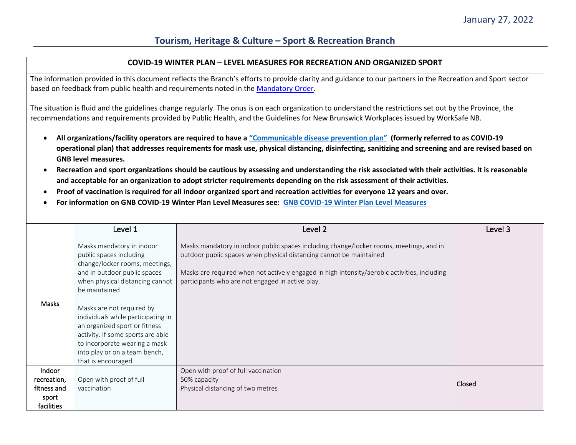### **COVID-19 WINTER PLAN – LEVEL MEASURES FOR RECREATION AND ORGANIZED SPORT**

The information provided in this document reflects the Branch's efforts to provide clarity and guidance to our partners in the Recreation and Sport sector based on feedback from public health and requirements noted in th[e Mandatory Order.](https://www2.gnb.ca/content/dam/gnb/Corporate/pdf/EmergencyUrgence19.pdf)

The situation is fluid and the guidelines change regularly. The onus is on each organization to understand the restrictions set out by the Province, the recommendations and requirements provided by Public Health, and the Guidelines for New Brunswick Workplaces issued by WorkSafe NB.

- **All organizations/facility operators are required to have a ["Communicable disease prevention plan"](https://www.worksafenb.ca/media/61899/communicable-disease-prevention-guide-for-new-brunswick-employers.pdf) (formerly referred to as COVID-19 operational plan) that addresses requirements for mask use, physical distancing, disinfecting, sanitizing and screening and are revised based on GNB level measures.**
- **Recreation and sport organizations should be cautious by assessing and understanding the risk associated with their activities. It is reasonable and acceptable for an organization to adopt stricter requirements depending on the risk assessment of their activities.**
- **Proof of vaccination is required for all indoor organized sport and recreation activities for everyone 12 years and over.**
- **For information on GNB COVID-19 Winter Plan Level Measures see: [GNB COVID-19 Winter Plan Level Measures](https://www2.gnb.ca/content/dam/gnb/Corporate/Promo/COVID19/alertlvls/docs/Alert-Level-Guidance.pdf)**

|                                                             | Level 1                                                                                                                                                                                                 | Level 2                                                                                                                                                                                                                                                                                                            | Level 3 |
|-------------------------------------------------------------|---------------------------------------------------------------------------------------------------------------------------------------------------------------------------------------------------------|--------------------------------------------------------------------------------------------------------------------------------------------------------------------------------------------------------------------------------------------------------------------------------------------------------------------|---------|
| Masks                                                       | Masks mandatory in indoor<br>public spaces including<br>change/locker rooms, meetings,<br>and in outdoor public spaces<br>when physical distancing cannot<br>be maintained<br>Masks are not required by | Masks mandatory in indoor public spaces including change/locker rooms, meetings, and in<br>outdoor public spaces when physical distancing cannot be maintained<br>Masks are required when not actively engaged in high intensity/aerobic activities, including<br>participants who are not engaged in active play. |         |
|                                                             | individuals while participating in<br>an organized sport or fitness<br>activity. If some sports are able<br>to incorporate wearing a mask<br>into play or on a team bench,<br>that is encouraged.       |                                                                                                                                                                                                                                                                                                                    |         |
| Indoor<br>recreation,<br>fitness and<br>sport<br>facilities | Open with proof of full<br>vaccination                                                                                                                                                                  | Open with proof of full vaccination<br>50% capacity<br>Physical distancing of two metres                                                                                                                                                                                                                           | Closed  |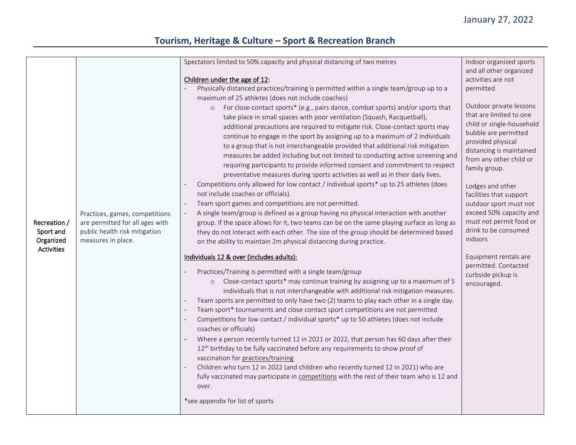| Recreation /<br>Sport and<br>Organized<br><b>Activities</b> | Practices, games, competitions<br>are permitted for all ages with<br>public health risk mitigation<br>measures in place. | Spectators limited to 50% capacity and physical distancing of two metres<br>Children under the age of 12:<br>Physically distanced practices/training is permitted within a single team/group up to a<br>maximum of 25 athletes (does not include coaches)<br>For close-contact sports* (e.g., pairs dance, combat sports) and/or sports that<br>$\circ$<br>take place in small spaces with poor ventilation (Squash, Racquetball),<br>additional precautions are required to mitigate risk. Close-contact sports may<br>continue to engage in the sport by assigning up to a maximum of 2 individuals<br>to a group that is not interchangeable provided that additional risk mitigation<br>measures be added including but not limited to conducting active screening and<br>requiring participants to provide informed consent and commitment to respect<br>preventative measures during sports activities as well as in their daily lives.<br>Competitions only allowed for low contact / individual sports* up to 25 athletes (does<br>not include coaches or officials).<br>Team sport games and competitions are not permitted.<br>A single team/group is defined as a group having no physical interaction with another<br>group. If the space allows for it, two teams can be on the same playing surface as long as<br>they do not interact with each other. The size of the group should be determined based<br>on the ability to maintain 2m physical distancing during practice.<br>Individuals 12 & over (includes adults):<br>Practices/Training is permitted with a single team/group<br>o Close-contact sports* may continue training by assigning up to a maximum of 5<br>individuals that is not interchangeable with additional risk mitigation measures.<br>Team sports are permitted to only have two (2) teams to play each other in a single day.<br>Team sport* tournaments and close contact sport competitions are not permitted<br>Competitions for low contact / individual sports* up to 50 athletes (does not include<br>coaches or officials)<br>Where a person recently turned 12 in 2021 or 2022, that person has 60 days after their<br>12 <sup>th</sup> birthday to be fully vaccinated before any requirements to show proof of<br>vaccination for practices/training<br>Children who turn 12 in 2022 (and children who recently turned 12 in 2021) who are<br>fully vaccinated may participate in competitions with the rest of their team who is 12 and<br>over.<br>*see appendix for list of sports | Indoor organized sports<br>and all other organized<br>activities are not<br>permitted<br>Outdoor private lessons<br>that are limited to one<br>child or single-household<br>bubble are permitted<br>provided physical<br>distancing is maintained<br>from any other child or<br>family group.<br>Lodges and other<br>facilities that support<br>outdoor sport must not<br>exceed 50% capacity and<br>must not permit food or<br>drink to be consumed<br>indoors<br>Equipment rentals are<br>permitted. Contacted<br>curbside pickup is<br>encouraged. |
|-------------------------------------------------------------|--------------------------------------------------------------------------------------------------------------------------|--------------------------------------------------------------------------------------------------------------------------------------------------------------------------------------------------------------------------------------------------------------------------------------------------------------------------------------------------------------------------------------------------------------------------------------------------------------------------------------------------------------------------------------------------------------------------------------------------------------------------------------------------------------------------------------------------------------------------------------------------------------------------------------------------------------------------------------------------------------------------------------------------------------------------------------------------------------------------------------------------------------------------------------------------------------------------------------------------------------------------------------------------------------------------------------------------------------------------------------------------------------------------------------------------------------------------------------------------------------------------------------------------------------------------------------------------------------------------------------------------------------------------------------------------------------------------------------------------------------------------------------------------------------------------------------------------------------------------------------------------------------------------------------------------------------------------------------------------------------------------------------------------------------------------------------------------------------------------------------------------------------------------------------------------------------------------------------------------------------------------------------------------------------------------------------------------------------------------------------------------------------------------------------------------------------------------------------------------------------------------------------------------------------------------------------------------------------------------------------------------------------------------------------------|-------------------------------------------------------------------------------------------------------------------------------------------------------------------------------------------------------------------------------------------------------------------------------------------------------------------------------------------------------------------------------------------------------------------------------------------------------------------------------------------------------------------------------------------------------|
|-------------------------------------------------------------|--------------------------------------------------------------------------------------------------------------------------|--------------------------------------------------------------------------------------------------------------------------------------------------------------------------------------------------------------------------------------------------------------------------------------------------------------------------------------------------------------------------------------------------------------------------------------------------------------------------------------------------------------------------------------------------------------------------------------------------------------------------------------------------------------------------------------------------------------------------------------------------------------------------------------------------------------------------------------------------------------------------------------------------------------------------------------------------------------------------------------------------------------------------------------------------------------------------------------------------------------------------------------------------------------------------------------------------------------------------------------------------------------------------------------------------------------------------------------------------------------------------------------------------------------------------------------------------------------------------------------------------------------------------------------------------------------------------------------------------------------------------------------------------------------------------------------------------------------------------------------------------------------------------------------------------------------------------------------------------------------------------------------------------------------------------------------------------------------------------------------------------------------------------------------------------------------------------------------------------------------------------------------------------------------------------------------------------------------------------------------------------------------------------------------------------------------------------------------------------------------------------------------------------------------------------------------------------------------------------------------------------------------------------------------------|-------------------------------------------------------------------------------------------------------------------------------------------------------------------------------------------------------------------------------------------------------------------------------------------------------------------------------------------------------------------------------------------------------------------------------------------------------------------------------------------------------------------------------------------------------|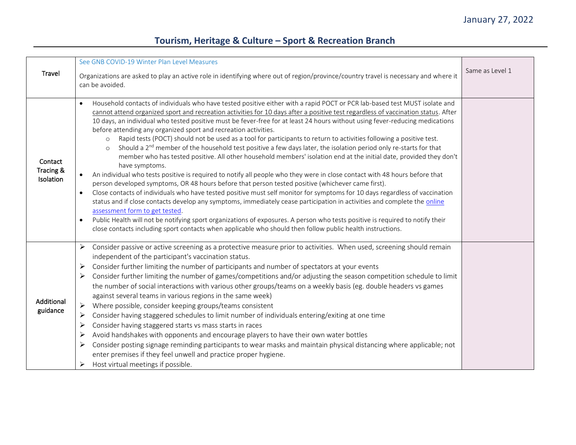|                                   | See GNB COVID-19 Winter Plan Level Measures                                                                                                                                                                                                                                                                                                                                                                                                                                                                                                                                                                                                                                                                                                                                                                                                                                                                                                                                                                                                                                                                                                                                                                                                                                                                                                                                                                                                                                                                                                                                                                                                                                                                     |                 |
|-----------------------------------|-----------------------------------------------------------------------------------------------------------------------------------------------------------------------------------------------------------------------------------------------------------------------------------------------------------------------------------------------------------------------------------------------------------------------------------------------------------------------------------------------------------------------------------------------------------------------------------------------------------------------------------------------------------------------------------------------------------------------------------------------------------------------------------------------------------------------------------------------------------------------------------------------------------------------------------------------------------------------------------------------------------------------------------------------------------------------------------------------------------------------------------------------------------------------------------------------------------------------------------------------------------------------------------------------------------------------------------------------------------------------------------------------------------------------------------------------------------------------------------------------------------------------------------------------------------------------------------------------------------------------------------------------------------------------------------------------------------------|-----------------|
| Travel                            | Organizations are asked to play an active role in identifying where out of region/province/country travel is necessary and where it<br>can be avoided.                                                                                                                                                                                                                                                                                                                                                                                                                                                                                                                                                                                                                                                                                                                                                                                                                                                                                                                                                                                                                                                                                                                                                                                                                                                                                                                                                                                                                                                                                                                                                          | Same as Level 1 |
| Contact<br>Tracing &<br>Isolation | Household contacts of individuals who have tested positive either with a rapid POCT or PCR lab-based test MUST isolate and<br>$\bullet$<br>cannot attend organized sport and recreation activities for 10 days after a positive test regardless of vaccination status. After<br>10 days, an individual who tested positive must be fever-free for at least 24 hours without using fever-reducing medications<br>before attending any organized sport and recreation activities.<br>Rapid tests (POCT) should not be used as a tool for participants to return to activities following a positive test.<br>$\circ$<br>Should a 2 <sup>nd</sup> member of the household test positive a few days later, the isolation period only re-starts for that<br>$\circ$<br>member who has tested positive. All other household members' isolation end at the initial date, provided they don't<br>have symptoms.<br>An individual who tests positive is required to notify all people who they were in close contact with 48 hours before that<br>person developed symptoms, OR 48 hours before that person tested positive (whichever came first).<br>Close contacts of individuals who have tested positive must self monitor for symptoms for 10 days regardless of vaccination<br>$\bullet$<br>status and if close contacts develop any symptoms, immediately cease participation in activities and complete the online<br>assessment form to get tested.<br>Public Health will not be notifying sport organizations of exposures. A person who tests positive is required to notify their<br>$\bullet$<br>close contacts including sport contacts when applicable who should then follow public health instructions. |                 |
| Additional<br>guidance            | Consider passive or active screening as a protective measure prior to activities. When used, screening should remain<br>➤<br>independent of the participant's vaccination status.<br>Consider further limiting the number of participants and number of spectators at your events<br>≻<br>Consider further limiting the number of games/competitions and/or adjusting the season competition schedule to limit<br>➤<br>the number of social interactions with various other groups/teams on a weekly basis (eg. double headers vs games<br>against several teams in various regions in the same week)<br>Where possible, consider keeping groups/teams consistent<br>➤<br>Consider having staggered schedules to limit number of individuals entering/exiting at one time<br>≻<br>➤<br>Consider having staggered starts vs mass starts in races<br>Avoid handshakes with opponents and encourage players to have their own water bottles<br>➤<br>Consider posting signage reminding participants to wear masks and maintain physical distancing where applicable; not<br>≻<br>enter premises if they feel unwell and practice proper hygiene.<br>Host virtual meetings if possible.                                                                                                                                                                                                                                                                                                                                                                                                                                                                                                                             |                 |